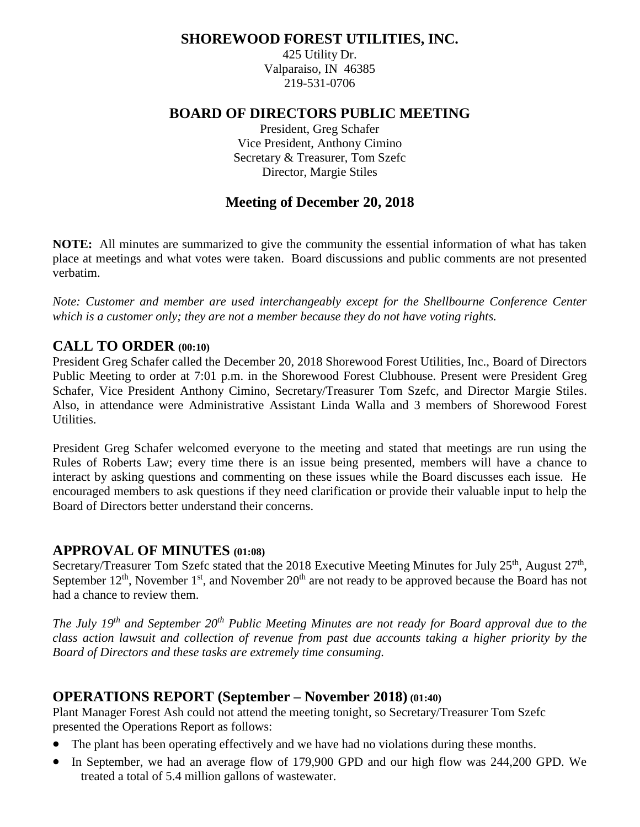# **SHOREWOOD FOREST UTILITIES, INC.**

425 Utility Dr. Valparaiso, IN 46385 219-531-0706

# **BOARD OF DIRECTORS PUBLIC MEETING**

President, Greg Schafer Vice President, Anthony Cimino Secretary & Treasurer, Tom Szefc Director, Margie Stiles

# **Meeting of December 20, 2018**

**NOTE:** All minutes are summarized to give the community the essential information of what has taken place at meetings and what votes were taken. Board discussions and public comments are not presented verbatim.

*Note: Customer and member are used interchangeably except for the Shellbourne Conference Center which is a customer only; they are not a member because they do not have voting rights.*

# **CALL TO ORDER (00:10)**

President Greg Schafer called the December 20, 2018 Shorewood Forest Utilities, Inc., Board of Directors Public Meeting to order at 7:01 p.m. in the Shorewood Forest Clubhouse. Present were President Greg Schafer, Vice President Anthony Cimino, Secretary/Treasurer Tom Szefc, and Director Margie Stiles. Also, in attendance were Administrative Assistant Linda Walla and 3 members of Shorewood Forest Utilities.

President Greg Schafer welcomed everyone to the meeting and stated that meetings are run using the Rules of Roberts Law; every time there is an issue being presented, members will have a chance to interact by asking questions and commenting on these issues while the Board discusses each issue. He encouraged members to ask questions if they need clarification or provide their valuable input to help the Board of Directors better understand their concerns.

# **APPROVAL OF MINUTES (01:08)**

Secretary/Treasurer Tom Szefc stated that the 2018 Executive Meeting Minutes for July 25<sup>th</sup>, August 27<sup>th</sup>, September  $12<sup>th</sup>$ , November  $1<sup>st</sup>$ , and November  $20<sup>th</sup>$  are not ready to be approved because the Board has not had a chance to review them.

*The July 19 th and September 20th Public Meeting Minutes are not ready for Board approval due to the class action lawsuit and collection of revenue from past due accounts taking a higher priority by the Board of Directors and these tasks are extremely time consuming.*

# **OPERATIONS REPORT (September – November 2018) (01:40)**

Plant Manager Forest Ash could not attend the meeting tonight, so Secretary/Treasurer Tom Szefc presented the Operations Report as follows:

- The plant has been operating effectively and we have had no violations during these months.
- In September, we had an average flow of 179,900 GPD and our high flow was 244,200 GPD. We treated a total of 5.4 million gallons of wastewater.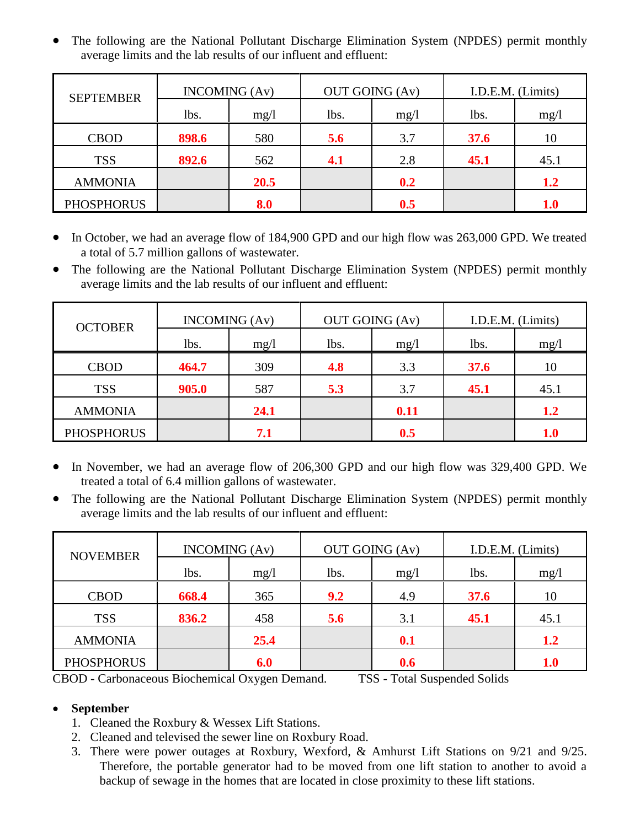• The following are the National Pollutant Discharge Elimination System (NPDES) permit monthly average limits and the lab results of our influent and effluent:

| <b>SEPTEMBER</b>  | <b>INCOMING</b> (Av) |      | <b>OUT GOING (Av)</b> |      | I.D.E.M. (Limits) |             |  |
|-------------------|----------------------|------|-----------------------|------|-------------------|-------------|--|
|                   | lbs.                 | mg/1 | lbs.                  | mg/1 | lbs.              | mg/l        |  |
| <b>CBOD</b>       | 898.6                | 580  | 5.6                   | 3.7  | 37.6              | 10          |  |
| <b>TSS</b>        | 892.6                | 562  | 4.1                   | 2.8  | 45.1              | 45.1        |  |
| <b>AMMONIA</b>    |                      | 20.5 |                       | 0.2  |                   | 1.2         |  |
| <b>PHOSPHORUS</b> |                      | 8.0  |                       | 0.5  |                   | ${\bf 1.0}$ |  |

- In October, we had an average flow of 184,900 GPD and our high flow was 263,000 GPD. We treated a total of 5.7 million gallons of wastewater.
- The following are the National Pollutant Discharge Elimination System (NPDES) permit monthly average limits and the lab results of our influent and effluent:

| <b>OCTOBER</b>    | <b>INCOMING</b> (Av) |      | <b>OUT GOING (Av)</b> |      | I.D.E.M. (Limits) |             |  |
|-------------------|----------------------|------|-----------------------|------|-------------------|-------------|--|
|                   | lbs.                 | mg/1 | lbs.                  | mg/l | lbs.              | mg/1        |  |
| <b>CBOD</b>       | 464.7                | 309  | 4.8                   | 3.3  | 37.6              | 10          |  |
| <b>TSS</b>        | 905.0                | 587  | 5.3                   | 3.7  | 45.1              | 45.1        |  |
| <b>AMMONIA</b>    |                      | 24.1 |                       | 0.11 |                   | 1.2         |  |
| <b>PHOSPHORUS</b> |                      | 7.1  |                       | 0.5  |                   | ${\bf 1.0}$ |  |

- In November, we had an average flow of 206,300 GPD and our high flow was 329,400 GPD. We treated a total of 6.4 million gallons of wastewater.
- The following are the National Pollutant Discharge Elimination System (NPDES) permit monthly average limits and the lab results of our influent and effluent:

| <b>NOVEMBER</b>   | <b>INCOMING</b> (Av) |      | <b>OUT GOING (Av)</b> |      | I.D.E.M. (Limits) |             |  |
|-------------------|----------------------|------|-----------------------|------|-------------------|-------------|--|
|                   | lbs.                 | mg/1 | lbs.                  | mg/l | lbs.              | mg/1        |  |
| <b>CBOD</b>       | 668.4                | 365  | 9.2                   | 4.9  | 37.6              | 10          |  |
| <b>TSS</b>        | 836.2                | 458  | 5.6                   | 3.1  | 45.1              | 45.1        |  |
| <b>AMMONIA</b>    |                      | 25.4 |                       | 0.1  |                   | 1.2         |  |
| <b>PHOSPHORUS</b> |                      | 6.0  |                       | 0.6  |                   | ${\bf 1.0}$ |  |

CBOD - Carbonaceous Biochemical Oxygen Demand. TSS - Total Suspended Solids

# • **September**

- 1. Cleaned the Roxbury & Wessex Lift Stations.
- 2. Cleaned and televised the sewer line on Roxbury Road.
- 3. There were power outages at Roxbury, Wexford, & Amhurst Lift Stations on 9/21 and 9/25. Therefore, the portable generator had to be moved from one lift station to another to avoid a backup of sewage in the homes that are located in close proximity to these lift stations.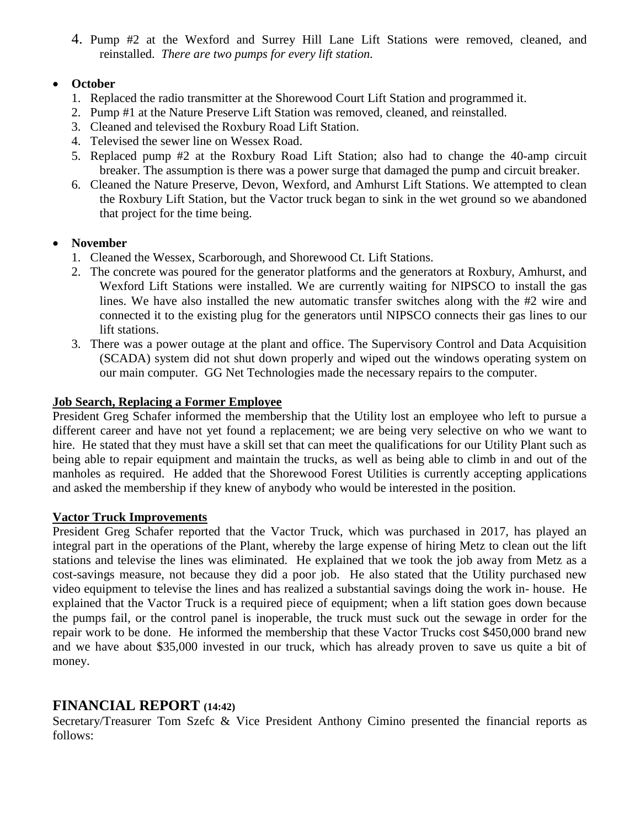4. Pump #2 at the Wexford and Surrey Hill Lane Lift Stations were removed, cleaned, and reinstalled. *There are two pumps for every lift station.*

## • **October**

- 1. Replaced the radio transmitter at the Shorewood Court Lift Station and programmed it.
- 2. Pump #1 at the Nature Preserve Lift Station was removed, cleaned, and reinstalled.
- 3. Cleaned and televised the Roxbury Road Lift Station.
- 4. Televised the sewer line on Wessex Road.
- 5. Replaced pump #2 at the Roxbury Road Lift Station; also had to change the 40-amp circuit breaker. The assumption is there was a power surge that damaged the pump and circuit breaker.
- 6. Cleaned the Nature Preserve, Devon, Wexford, and Amhurst Lift Stations. We attempted to clean the Roxbury Lift Station, but the Vactor truck began to sink in the wet ground so we abandoned that project for the time being.

## • **November**

- 1. Cleaned the Wessex, Scarborough, and Shorewood Ct. Lift Stations.
- 2. The concrete was poured for the generator platforms and the generators at Roxbury, Amhurst, and Wexford Lift Stations were installed. We are currently waiting for NIPSCO to install the gas lines. We have also installed the new automatic transfer switches along with the #2 wire and connected it to the existing plug for the generators until NIPSCO connects their gas lines to our lift stations.
- 3. There was a power outage at the plant and office. The Supervisory Control and Data Acquisition (SCADA) system did not shut down properly and wiped out the windows operating system on our main computer. GG Net Technologies made the necessary repairs to the computer.

## **Job Search, Replacing a Former Employee**

President Greg Schafer informed the membership that the Utility lost an employee who left to pursue a different career and have not yet found a replacement; we are being very selective on who we want to hire. He stated that they must have a skill set that can meet the qualifications for our Utility Plant such as being able to repair equipment and maintain the trucks, as well as being able to climb in and out of the manholes as required. He added that the Shorewood Forest Utilities is currently accepting applications and asked the membership if they knew of anybody who would be interested in the position.

## **Vactor Truck Improvements**

President Greg Schafer reported that the Vactor Truck, which was purchased in 2017, has played an integral part in the operations of the Plant, whereby the large expense of hiring Metz to clean out the lift stations and televise the lines was eliminated. He explained that we took the job away from Metz as a cost-savings measure, not because they did a poor job. He also stated that the Utility purchased new video equipment to televise the lines and has realized a substantial savings doing the work in- house. He explained that the Vactor Truck is a required piece of equipment; when a lift station goes down because the pumps fail, or the control panel is inoperable, the truck must suck out the sewage in order for the repair work to be done. He informed the membership that these Vactor Trucks cost \$450,000 brand new and we have about \$35,000 invested in our truck, which has already proven to save us quite a bit of money.

# **FINANCIAL REPORT (14:42)**

Secretary/Treasurer Tom Szefc & Vice President Anthony Cimino presented the financial reports as follows: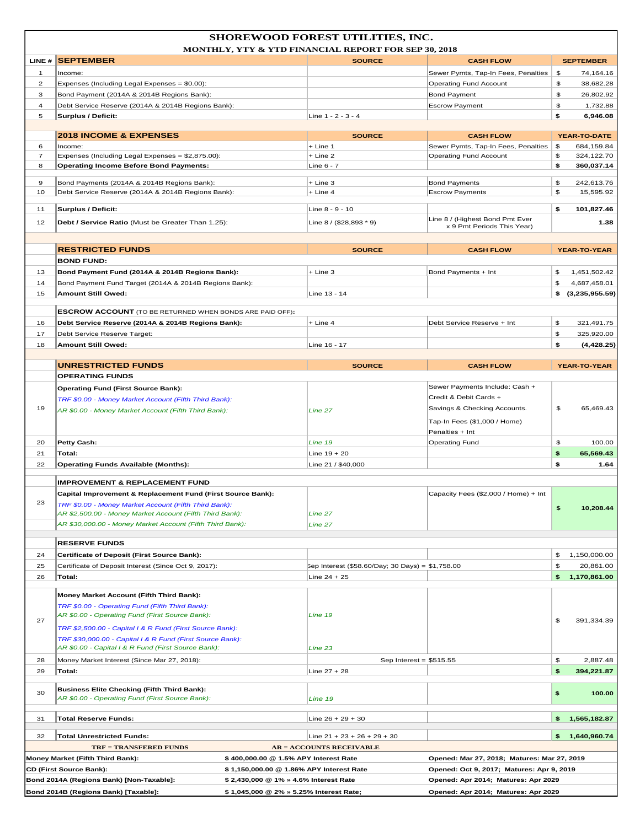|                | SHOREWOOD FOREST UTILITIES, INC.<br><b>MONTHLY, YTY &amp; YTD FINANCIAL REPORT FOR SEP 30, 2018</b>                   |                                                  |                                             |    |                     |  |  |
|----------------|-----------------------------------------------------------------------------------------------------------------------|--------------------------------------------------|---------------------------------------------|----|---------------------|--|--|
| LINE#          | <b>SEPTEMBER</b>                                                                                                      | <b>SOURCE</b>                                    | <b>CASH FLOW</b>                            |    | <b>SEPTEMBER</b>    |  |  |
| $\mathbf{1}$   | Income:                                                                                                               |                                                  | Sewer Pymts, Tap-In Fees, Penalties         | \$ | 74,164.16           |  |  |
| $\overline{2}$ | Expenses (Including Legal Expenses = \$0.00):                                                                         |                                                  | <b>Operating Fund Account</b>               | \$ | 38,682.28           |  |  |
| 3              | Bond Payment (2014A & 2014B Regions Bank):                                                                            |                                                  | <b>Bond Payment</b>                         | \$ | 26,802.92           |  |  |
| $\overline{4}$ | Debt Service Reserve (2014A & 2014B Regions Bank):                                                                    |                                                  | <b>Escrow Payment</b>                       | \$ | 1,732.88            |  |  |
| 5              | <b>Surplus / Deficit:</b>                                                                                             | Line 1 - 2 - 3 - 4                               |                                             | \$ | 6,946.08            |  |  |
|                | <b>2018 INCOME &amp; EXPENSES</b>                                                                                     | <b>SOURCE</b>                                    | <b>CASH FLOW</b>                            |    | YEAR-TO-DATE        |  |  |
| 6              | Income:                                                                                                               | $+$ Line 1                                       | Sewer Pymts, Tap-In Fees, Penalties         | \$ | 684,159.84          |  |  |
| $\overline{7}$ | Expenses (Including Legal Expenses = \$2,875.00):                                                                     | + Line 2                                         | <b>Operating Fund Account</b>               | \$ | 324,122.70          |  |  |
| 8              | <b>Operating Income Before Bond Payments:</b>                                                                         | Line 6 - 7                                       |                                             | \$ | 360,037.14          |  |  |
| 9              | Bond Payments (2014A & 2014B Regions Bank):                                                                           | + Line 3                                         | <b>Bond Payments</b>                        | \$ | 242,613.76          |  |  |
| 10             | Debt Service Reserve (2014A & 2014B Regions Bank):                                                                    | + Line 4                                         | <b>Escrow Payments</b>                      | \$ | 15,595.92           |  |  |
|                |                                                                                                                       |                                                  |                                             |    |                     |  |  |
| 11             | <b>Surplus / Deficit:</b>                                                                                             | Line 8 - 9 - 10                                  | Line 8 / (Highest Bond Pmt Ever             | \$ | 101,827.46          |  |  |
| 12             | Debt / Service Ratio (Must be Greater Than 1.25):                                                                     | Line 8 / (\$28,893 * 9)                          | x 9 Pmt Periods This Year)                  |    | 1.38                |  |  |
|                |                                                                                                                       |                                                  |                                             |    |                     |  |  |
|                | <b>RESTRICTED FUNDS</b>                                                                                               | <b>SOURCE</b>                                    | <b>CASH FLOW</b>                            |    | <b>YEAR-TO-YEAR</b> |  |  |
|                | <b>BOND FUND:</b>                                                                                                     |                                                  |                                             |    |                     |  |  |
| 13             | Bond Payment Fund (2014A & 2014B Regions Bank):                                                                       | + Line 3                                         | Bond Payments + Int                         | \$ | 1,451,502.42        |  |  |
| 14             | Bond Payment Fund Target (2014A & 2014B Regions Bank):                                                                |                                                  |                                             | \$ | 4,687,458.01        |  |  |
| 15             | Amount Still Owed:                                                                                                    | Line 13 - 14                                     |                                             |    | \$(3,235,955.59)    |  |  |
|                |                                                                                                                       |                                                  |                                             |    |                     |  |  |
| 16             | <b>ESCROW ACCOUNT</b> (TO BE RETURNED WHEN BONDS ARE PAID OFF):<br>Debt Service Reserve (2014A & 2014B Regions Bank): | $+$ Line 4                                       | Debt Service Reserve + Int                  | \$ | 321,491.75          |  |  |
| 17             | Debt Service Reserve Target:                                                                                          |                                                  |                                             | \$ | 325,920.00          |  |  |
| 18             | <b>Amount Still Owed:</b>                                                                                             | Line 16 - 17                                     |                                             | \$ | (4, 428.25)         |  |  |
|                |                                                                                                                       |                                                  |                                             |    |                     |  |  |
|                | <b>UNRESTRICTED FUNDS</b>                                                                                             | <b>SOURCE</b>                                    | <b>CASH FLOW</b>                            |    | YEAR-TO-YEAR        |  |  |
|                | <b>OPERATING FUNDS</b>                                                                                                |                                                  |                                             |    |                     |  |  |
|                | <b>Operating Fund (First Source Bank):</b>                                                                            |                                                  | Sewer Payments Include: Cash +              |    |                     |  |  |
|                | TRF \$0.00 - Money Market Account (Fifth Third Bank):                                                                 |                                                  | Credit & Debit Cards +                      |    |                     |  |  |
| 19             | AR \$0.00 - Money Market Account (Fifth Third Bank):                                                                  | Line 27                                          | Savings & Checking Accounts.                | \$ | 65,469.43           |  |  |
|                |                                                                                                                       |                                                  | Tap-In Fees (\$1,000 / Home)                |    |                     |  |  |
|                |                                                                                                                       |                                                  | Penalties + Int                             |    |                     |  |  |
| 20             | Petty Cash:                                                                                                           | Line 19                                          | <b>Operating Fund</b>                       | \$ | 100.00              |  |  |
| 21             | Total:                                                                                                                | Line $19 + 20$                                   |                                             | \$ | 65,569.43           |  |  |
| 22             | <b>Operating Funds Available (Months):</b>                                                                            | Line 21 / \$40,000                               |                                             | \$ | 1.64                |  |  |
|                | <b>IMPROVEMENT &amp; REPLACEMENT FUND</b>                                                                             |                                                  |                                             |    |                     |  |  |
|                | Capital Improvement & Replacement Fund (First Source Bank):                                                           |                                                  | Capacity Fees (\$2,000 / Home) + Int        |    |                     |  |  |
| 23             | TRF \$0.00 - Money Market Account (Fifth Third Bank):                                                                 |                                                  |                                             | \$ | 10,208.44           |  |  |
|                | AR \$2,500.00 - Money Market Account (Fifth Third Bank):                                                              | Line 27                                          |                                             |    |                     |  |  |
|                | AR \$30,000.00 - Money Market Account (Fifth Third Bank):                                                             | Line 27                                          |                                             |    |                     |  |  |
|                | <b>RESERVE FUNDS</b>                                                                                                  |                                                  |                                             |    |                     |  |  |
| 24             | Certificate of Deposit (First Source Bank):                                                                           |                                                  |                                             | \$ | 1,150,000.00        |  |  |
| 25             | Certificate of Deposit Interest (Since Oct 9, 2017):                                                                  | Sep Interest (\$58.60/Day; 30 Days) = \$1,758.00 |                                             | \$ | 20,861.00           |  |  |
| 26             | Total:                                                                                                                | Line $24 + 25$                                   |                                             |    | \$ 1,170,861.00     |  |  |
|                |                                                                                                                       |                                                  |                                             |    |                     |  |  |
|                | Money Market Account (Fifth Third Bank):                                                                              |                                                  |                                             |    |                     |  |  |
|                | TRF \$0.00 - Operating Fund (Fifth Third Bank):                                                                       |                                                  |                                             |    |                     |  |  |
| 27             | AR \$0.00 - Operating Fund (First Source Bank):                                                                       | Line 19                                          |                                             | \$ | 391,334.39          |  |  |
|                | TRF \$2,500.00 - Capital I & R Fund (First Source Bank):                                                              |                                                  |                                             |    |                     |  |  |
|                | TRF \$30,000.00 - Capital I & R Fund (First Source Bank):<br>AR \$0.00 - Capital I & R Fund (First Source Bank):      | Line 23                                          |                                             |    |                     |  |  |
| 28             | Money Market Interest (Since Mar 27, 2018):                                                                           | Sep Interest = $$515.55$                         |                                             | \$ | 2,887.48            |  |  |
| 29             | Total:                                                                                                                | Line $27 + 28$                                   |                                             | \$ | 394,221.87          |  |  |
|                |                                                                                                                       |                                                  |                                             |    |                     |  |  |
| 30             | <b>Business Elite Checking (Fifth Third Bank):</b><br>AR \$0.00 - Operating Fund (First Source Bank):                 | Line 19                                          |                                             | \$ | 100.00              |  |  |
| 31             | Total Reserve Funds:                                                                                                  | Line $26 + 29 + 30$                              |                                             |    | \$ 1,565,182.87     |  |  |
| 32             | <b>Total Unrestricted Funds:</b>                                                                                      | Line $21 + 23 + 26 + 29 + 30$                    |                                             |    | \$ 1,640,960.74     |  |  |
|                | <b>TRF = TRANSFERED FUNDS</b>                                                                                         | $AR = ACCOUNTS RECEIVABLE$                       |                                             |    |                     |  |  |
|                | Money Market (Fifth Third Bank):<br>\$400,000.00 @ 1.5% APY Interest Rate                                             |                                                  | Opened: Mar 27, 2018; Matures: Mar 27, 2019 |    |                     |  |  |
|                | <b>CD (First Source Bank):</b>                                                                                        | \$1,150,000.00 @ 1.86% APY Interest Rate         | Opened: Oct 9, 2017; Matures: Apr 9, 2019   |    |                     |  |  |
|                | Bond 2014A (Regions Bank) [Non-Taxable]:<br>\$2,430,000 @ 1% » 4.6% Interest Rate                                     |                                                  | Opened: Apr 2014; Matures: Apr 2029         |    |                     |  |  |
|                | Bond 2014B (Regions Bank) [Taxable]:<br>\$1,045,000 @ 2% » 5.25% Interest Rate;                                       |                                                  | Opened: Apr 2014; Matures: Apr 2029         |    |                     |  |  |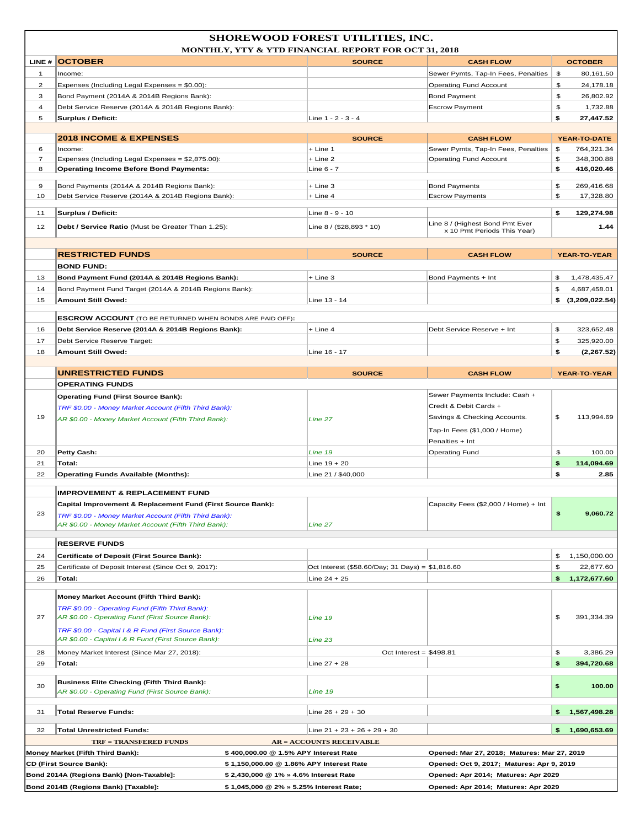|                     | Bond 2014A (Regions Bank) [Non-Taxable]:                                                                                                                                                               | \$2,430,000 @ 1% » 4.6% Interest Rate                                             |                                                  | Opened: Apr 2014; Matures: Apr 2029                                                      |          |                           |  |
|---------------------|--------------------------------------------------------------------------------------------------------------------------------------------------------------------------------------------------------|-----------------------------------------------------------------------------------|--------------------------------------------------|------------------------------------------------------------------------------------------|----------|---------------------------|--|
|                     | <b>CD (First Source Bank):</b>                                                                                                                                                                         | \$400,000.00 @ 1.5% APY Interest Rate<br>\$1,150,000.00 @ 1.86% APY Interest Rate |                                                  | Opened: Mar 27, 2018; Matures: Mar 27, 2019<br>Opened: Oct 9, 2017; Matures: Apr 9, 2019 |          |                           |  |
|                     | <b>TRF = TRANSFERED FUNDS</b><br>Money Market (Fifth Third Bank):                                                                                                                                      | <b>AR = ACCOUNTS RECEIVABLE</b>                                                   |                                                  |                                                                                          |          |                           |  |
| 32                  | <b>Total Unrestricted Funds:</b>                                                                                                                                                                       | Line $21 + 23 + 26 + 29 + 30$                                                     |                                                  |                                                                                          | \$.      | 1,690,653.69              |  |
|                     |                                                                                                                                                                                                        |                                                                                   |                                                  |                                                                                          |          |                           |  |
| 31                  | <b>Total Reserve Funds:</b>                                                                                                                                                                            | Line $26 + 29 + 30$                                                               |                                                  |                                                                                          | \$.      | 1,567,498.28              |  |
| 30                  | <b>Business Elite Checking (Fifth Third Bank):</b><br>AR \$0.00 - Operating Fund (First Source Bank):                                                                                                  | Line 19                                                                           |                                                  |                                                                                          | \$       | 100.00                    |  |
| 29                  | Total:                                                                                                                                                                                                 | Line $27 + 28$                                                                    |                                                  |                                                                                          | \$       | 394,720.68                |  |
| 28                  | AR \$0.00 - Capital I & R Fund (First Source Bank):<br>Money Market Interest (Since Mar 27, 2018):                                                                                                     | Line 23                                                                           | Oct Interest = $$498.81$                         |                                                                                          | \$       | 3,386.29                  |  |
| 27                  | Money Market Account (Fifth Third Bank):<br>TRF \$0.00 - Operating Fund (Fifth Third Bank):<br>AR \$0.00 - Operating Fund (First Source Bank):<br>TRF \$0.00 - Capital I & R Fund (First Source Bank): | Line 19                                                                           |                                                  |                                                                                          | \$       | 391,334.39                |  |
| 26                  | Total:                                                                                                                                                                                                 | $Line 24 + 25$                                                                    |                                                  |                                                                                          | \$.      | 1,172,677.60              |  |
| 25                  | Certificate of Deposit Interest (Since Oct 9, 2017):                                                                                                                                                   |                                                                                   | Oct Interest (\$58.60/Day; 31 Days) = \$1,816.60 |                                                                                          | \$       | 22,677.60                 |  |
| 24                  | Certificate of Deposit (First Source Bank):                                                                                                                                                            |                                                                                   |                                                  |                                                                                          | \$       | 1,150,000.00              |  |
|                     | <b>RESERVE FUNDS</b>                                                                                                                                                                                   |                                                                                   |                                                  |                                                                                          |          |                           |  |
| 23                  | Capital Improvement & Replacement Fund (First Source Bank):<br>TRF \$0.00 - Money Market Account (Fifth Third Bank):<br>AR \$0.00 - Money Market Account (Fifth Third Bank):                           | Line 27                                                                           |                                                  | Capacity Fees (\$2,000 / Home) + Int                                                     | \$       | 9,060.72                  |  |
|                     | <b>IMPROVEMENT &amp; REPLACEMENT FUND</b>                                                                                                                                                              |                                                                                   |                                                  |                                                                                          |          |                           |  |
| 22                  | <b>Operating Funds Available (Months):</b>                                                                                                                                                             | Line 21 / \$40,000                                                                |                                                  |                                                                                          | \$       | 2.85                      |  |
| 20<br>21            | <b>Petty Cash:</b><br>Total:                                                                                                                                                                           | Line $19 + 20$                                                                    |                                                  | <b>Operating Fund</b>                                                                    | \$<br>\$ | 100.00<br>114,094.69      |  |
|                     |                                                                                                                                                                                                        | Line 19                                                                           |                                                  | Penalties + Int                                                                          |          |                           |  |
| 19                  | TRF \$0.00 - Money Market Account (Fifth Third Bank):<br>AR \$0.00 - Money Market Account (Fifth Third Bank):                                                                                          | Line 27                                                                           |                                                  | Savings & Checking Accounts.<br>Tap-In Fees (\$1,000 / Home)                             | \$       | 113,994.69                |  |
|                     | <b>Operating Fund (First Source Bank):</b>                                                                                                                                                             |                                                                                   |                                                  | Sewer Payments Include: Cash +<br>Credit & Debit Cards +                                 |          |                           |  |
|                     | <b>OPERATING FUNDS</b>                                                                                                                                                                                 |                                                                                   |                                                  |                                                                                          |          |                           |  |
|                     | <b>UNRESTRICTED FUNDS</b>                                                                                                                                                                              |                                                                                   | <b>SOURCE</b>                                    | <b>CASH FLOW</b>                                                                         |          | <b>YEAR-TO-YEAR</b>       |  |
| 17<br>18            | Debt Service Reserve Target:<br><b>Amount Still Owed:</b>                                                                                                                                              | Line 16 - 17                                                                      |                                                  |                                                                                          | \$<br>\$ | 325,920.00<br>(2, 267.52) |  |
| 16                  | Debt Service Reserve (2014A & 2014B Regions Bank):                                                                                                                                                     | + Line 4                                                                          |                                                  | Debt Service Reserve + Int                                                               | \$       | 323,652.48                |  |
|                     | <b>ESCROW ACCOUNT</b> (TO BE RETURNED WHEN BONDS ARE PAID OFF):                                                                                                                                        |                                                                                   |                                                  |                                                                                          |          |                           |  |
| 15                  | <b>Amount Still Owed:</b>                                                                                                                                                                              | Line 13 - 14                                                                      |                                                  |                                                                                          |          | \$(3,209,022.54)          |  |
| 14                  | Bond Payment Fund Target (2014A & 2014B Regions Bank):                                                                                                                                                 |                                                                                   |                                                  |                                                                                          | \$       | 4,687,458.01              |  |
| 13                  | <b>BOND FUND:</b><br>Bond Payment Fund (2014A & 2014B Regions Bank):                                                                                                                                   | + Line 3                                                                          |                                                  | Bond Payments + Int                                                                      | \$       | 1,478,435.47              |  |
|                     | <b>RESTRICTED FUNDS</b>                                                                                                                                                                                |                                                                                   | <b>SOURCE</b>                                    | <b>CASH FLOW</b>                                                                         |          | YEAR-TO-YEAR              |  |
| 12                  | Debt / Service Ratio (Must be Greater Than 1.25):                                                                                                                                                      | Line 8 / (\$28,893 * 10)                                                          |                                                  | Line 8 / (Highest Bond Pmt Ever<br>x 10 Pmt Periods This Year)                           |          | 1.44                      |  |
| 11                  | <b>Surplus / Deficit:</b>                                                                                                                                                                              | Line 8 - 9 - 10                                                                   |                                                  |                                                                                          | \$       | 129,274.98                |  |
| 9<br>10             | Bond Payments (2014A & 2014B Regions Bank):<br>Debt Service Reserve (2014A & 2014B Regions Bank):                                                                                                      | + Line 3<br>+ Line 4                                                              |                                                  | <b>Bond Payments</b><br><b>Escrow Payments</b>                                           | \$<br>\$ | 269,416.68<br>17,328.80   |  |
| 8                   | <b>Operating Income Before Bond Payments:</b>                                                                                                                                                          | Line 6 - 7                                                                        |                                                  |                                                                                          | \$       | 416,020.46                |  |
| 7                   | Expenses (Including Legal Expenses = \$2,875.00):                                                                                                                                                      | + Line 2                                                                          |                                                  | <b>Operating Fund Account</b>                                                            | \$       | 348,300.88                |  |
| 6                   | Income:                                                                                                                                                                                                | + Line 1                                                                          |                                                  | Sewer Pymts, Tap-In Fees, Penalties                                                      | \$       | 764,321.34                |  |
|                     | <b>2018 INCOME &amp; EXPENSES</b>                                                                                                                                                                      |                                                                                   | <b>SOURCE</b>                                    | <b>CASH FLOW</b>                                                                         |          | <b>YEAR-TO-DATE</b>       |  |
| 5                   | Surplus / Deficit:                                                                                                                                                                                     | Line 1 - 2 - 3 - 4                                                                |                                                  |                                                                                          | \$       | 27,447.52                 |  |
| $\overline{4}$      | Bond Payment (2014A & 2014B Regions Bank):<br>Debt Service Reserve (2014A & 2014B Regions Bank):                                                                                                       |                                                                                   |                                                  | <b>Bond Payment</b><br><b>Escrow Payment</b>                                             | \$       | 1,732.88                  |  |
| $\overline{c}$<br>3 | Expenses (Including Legal Expenses = \$0.00):                                                                                                                                                          |                                                                                   |                                                  | <b>Operating Fund Account</b>                                                            | \$<br>\$ | 24,178.18<br>26,802.92    |  |
| 1                   | Income:                                                                                                                                                                                                |                                                                                   |                                                  | Sewer Pymts, Tap-In Fees, Penalties                                                      | \$       | 80,161.50                 |  |
|                     | LINE # OCTOBER                                                                                                                                                                                         |                                                                                   | <b>SOURCE</b>                                    | <b>CASH FLOW</b>                                                                         |          | <b>OCTOBER</b>            |  |
|                     | <b>SHOREWOOD FOREST UTILITIES, INC.</b><br><b>MONTHLY, YTY &amp; YTD FINANCIAL REPORT FOR OCT 31, 2018</b>                                                                                             |                                                                                   |                                                  |                                                                                          |          |                           |  |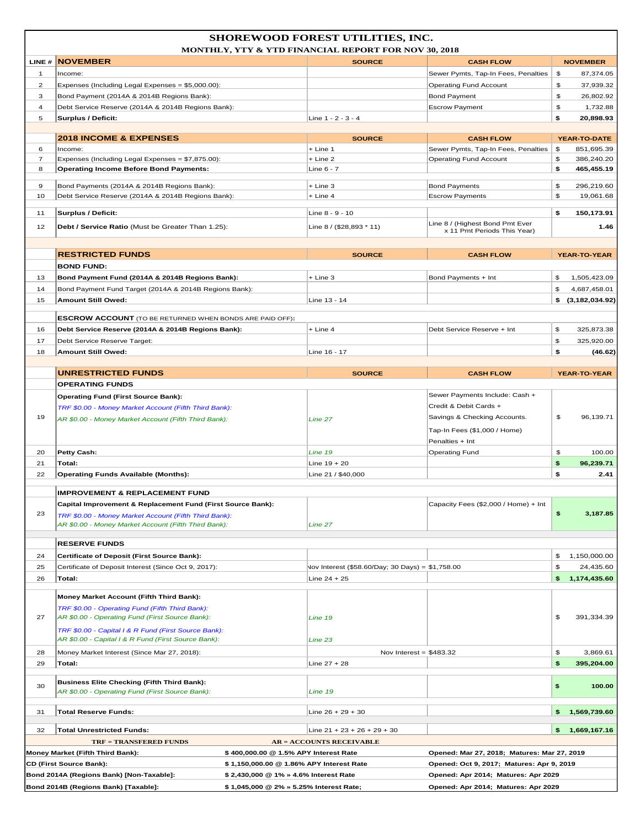|                     | SHOREWOOD FOREST UTILITIES, INC.<br><b>MONTHLY, YTY &amp; YTD FINANCIAL REPORT FOR NOV 30, 2018</b> |                                                                                    |                                                  |                                                                                  |          |                          |  |
|---------------------|-----------------------------------------------------------------------------------------------------|------------------------------------------------------------------------------------|--------------------------------------------------|----------------------------------------------------------------------------------|----------|--------------------------|--|
|                     | LINE # NOVEMBER                                                                                     |                                                                                    | <b>SOURCE</b>                                    | <b>CASH FLOW</b>                                                                 |          | <b>NOVEMBER</b>          |  |
| 1                   | Income:                                                                                             |                                                                                    |                                                  | Sewer Pymts, Tap-In Fees, Penalties                                              | \$       | 87,374.05                |  |
| $\overline{c}$      | Expenses (Including Legal Expenses = \$5,000.00):                                                   |                                                                                    |                                                  | <b>Operating Fund Account</b>                                                    | \$       | 37,939.32                |  |
| 3                   | Bond Payment (2014A & 2014B Regions Bank):                                                          |                                                                                    |                                                  | <b>Bond Payment</b>                                                              | \$       | 26,802.92                |  |
| $\overline{4}$      | Debt Service Reserve (2014A & 2014B Regions Bank):                                                  |                                                                                    |                                                  | <b>Escrow Payment</b>                                                            | \$       | 1,732.88                 |  |
| 5                   | <b>Surplus / Deficit:</b>                                                                           |                                                                                    | Line 1 - 2 - 3 - 4                               |                                                                                  | \$       | 20,898.93                |  |
|                     |                                                                                                     |                                                                                    |                                                  |                                                                                  |          |                          |  |
|                     | <b>2018 INCOME &amp; EXPENSES</b>                                                                   |                                                                                    | <b>SOURCE</b>                                    | <b>CASH FLOW</b>                                                                 |          | <b>YEAR-TO-DATE</b>      |  |
| 6                   | Income:                                                                                             |                                                                                    | $+$ Line 1<br>$+$ Line 2                         | Sewer Pymts, Tap-In Fees, Penalties                                              | \$       | 851,695.39               |  |
| $\overline{7}$<br>8 | Expenses (Including Legal Expenses = \$7,875.00):<br><b>Operating Income Before Bond Payments:</b>  |                                                                                    | Line 6 - 7                                       | <b>Operating Fund Account</b>                                                    | \$<br>\$ | 386,240.20<br>465,455.19 |  |
|                     |                                                                                                     |                                                                                    |                                                  |                                                                                  |          |                          |  |
| 9                   | Bond Payments (2014A & 2014B Regions Bank):                                                         |                                                                                    | + Line 3                                         | <b>Bond Payments</b>                                                             | \$       | 296,219.60               |  |
| 10                  | Debt Service Reserve (2014A & 2014B Regions Bank):                                                  |                                                                                    | + Line 4                                         | <b>Escrow Payments</b>                                                           | \$       | 19,061.68                |  |
| 11                  | Surplus / Deficit:                                                                                  |                                                                                    | Line 8 - 9 - 10                                  |                                                                                  | \$       | 150,173.91               |  |
|                     |                                                                                                     |                                                                                    |                                                  | Line 8 / (Highest Bond Pmt Ever                                                  |          |                          |  |
| 12                  | Debt / Service Ratio (Must be Greater Than 1.25):                                                   |                                                                                    | Line 8 / (\$28,893 * 11)                         | x 11 Pmt Periods This Year)                                                      |          | 1.46                     |  |
|                     |                                                                                                     |                                                                                    |                                                  |                                                                                  |          |                          |  |
|                     | <b>RESTRICTED FUNDS</b>                                                                             |                                                                                    | <b>SOURCE</b>                                    | <b>CASH FLOW</b>                                                                 |          | YEAR-TO-YEAR             |  |
|                     | <b>BOND FUND:</b>                                                                                   |                                                                                    |                                                  |                                                                                  |          |                          |  |
| 13                  | Bond Payment Fund (2014A & 2014B Regions Bank):                                                     |                                                                                    | + Line 3                                         | Bond Payments + Int                                                              | \$       | 1,505,423.09             |  |
| 14                  | Bond Payment Fund Target (2014A & 2014B Regions Bank):                                              |                                                                                    |                                                  |                                                                                  | \$       | 4,687,458.01             |  |
| 15                  | <b>Amount Still Owed:</b>                                                                           |                                                                                    | Line 13 - 14                                     |                                                                                  |          | \$(3,182,034.92)         |  |
|                     |                                                                                                     |                                                                                    |                                                  |                                                                                  |          |                          |  |
|                     | <b>ESCROW ACCOUNT</b> (TO BE RETURNED WHEN BONDS ARE PAID OFF):                                     |                                                                                    |                                                  |                                                                                  |          |                          |  |
| 16                  | Debt Service Reserve (2014A & 2014B Regions Bank):                                                  |                                                                                    | + Line 4                                         | Debt Service Reserve + Int                                                       | \$       | 325,873.38               |  |
| 17                  | Debt Service Reserve Target:                                                                        |                                                                                    |                                                  |                                                                                  | \$       | 325,920.00               |  |
| 18                  | <b>Amount Still Owed:</b>                                                                           |                                                                                    | Line 16 - 17                                     |                                                                                  | \$       | (46.62)                  |  |
|                     |                                                                                                     |                                                                                    |                                                  |                                                                                  |          |                          |  |
|                     | <b>UNRESTRICTED FUNDS</b>                                                                           |                                                                                    | <b>SOURCE</b>                                    | <b>CASH FLOW</b>                                                                 |          | YEAR-TO-YEAR             |  |
|                     | <b>OPERATING FUNDS</b>                                                                              |                                                                                    |                                                  |                                                                                  |          |                          |  |
|                     | <b>Operating Fund (First Source Bank):</b>                                                          |                                                                                    |                                                  | Sewer Payments Include: Cash +                                                   |          |                          |  |
|                     | TRF \$0.00 - Money Market Account (Fifth Third Bank):                                               |                                                                                    |                                                  | Credit & Debit Cards +                                                           |          |                          |  |
| 19                  | AR \$0.00 - Money Market Account (Fifth Third Bank):                                                |                                                                                    | Line 27                                          | Savings & Checking Accounts.                                                     | \$       | 96,139.71                |  |
|                     |                                                                                                     |                                                                                    |                                                  | Tap-In Fees (\$1,000 / Home)                                                     |          |                          |  |
|                     |                                                                                                     |                                                                                    |                                                  | Penalties + Int                                                                  |          |                          |  |
| 20                  | <b>Petty Cash:</b>                                                                                  |                                                                                    | Line 19                                          | <b>Operating Fund</b>                                                            | \$       | 100.00                   |  |
| 21                  | Total:                                                                                              |                                                                                    | Line $19 + 20$                                   |                                                                                  | \$       | 96,239.71                |  |
| 22                  | <b>Operating Funds Available (Months):</b>                                                          |                                                                                    | Line 21 / \$40,000                               |                                                                                  | \$       | 2.41                     |  |
|                     |                                                                                                     |                                                                                    |                                                  |                                                                                  |          |                          |  |
|                     | <b>IMPROVEMENT &amp; REPLACEMENT FUND</b>                                                           |                                                                                    |                                                  |                                                                                  |          |                          |  |
|                     | <b>Capital Improvement &amp; Replacement Fund (First Source Bank):</b>                              |                                                                                    |                                                  | Capacity Fees (\$2,000 / Home) + Int                                             |          |                          |  |
| 23                  | TRF \$0.00 - Money Market Account (Fifth Third Bank):                                               |                                                                                    |                                                  |                                                                                  | \$       | 3,187.85                 |  |
|                     | AR \$0.00 - Money Market Account (Fifth Third Bank):                                                |                                                                                    | Line 27                                          |                                                                                  |          |                          |  |
|                     | <b>RESERVE FUNDS</b>                                                                                |                                                                                    |                                                  |                                                                                  |          |                          |  |
|                     |                                                                                                     |                                                                                    |                                                  |                                                                                  |          |                          |  |
| 24                  | Certificate of Deposit (First Source Bank):                                                         |                                                                                    |                                                  |                                                                                  | \$       | 1,150,000.00             |  |
| 25                  | Certificate of Deposit Interest (Since Oct 9, 2017):                                                |                                                                                    | Vov Interest (\$58.60/Day; 30 Days) = \$1,758.00 |                                                                                  | \$       | 24,435.60                |  |
| 26                  | Total:                                                                                              |                                                                                    | Line $24 + 25$                                   |                                                                                  | \$       | 1,174,435.60             |  |
|                     | <b>Money Market Account (Fifth Third Bank):</b>                                                     |                                                                                    |                                                  |                                                                                  |          |                          |  |
|                     | TRF \$0.00 - Operating Fund (Fifth Third Bank):                                                     |                                                                                    |                                                  |                                                                                  |          |                          |  |
| 27                  | AR \$0.00 - Operating Fund (First Source Bank):                                                     |                                                                                    | Line 19                                          |                                                                                  | \$       | 391,334.39               |  |
|                     | TRF \$0.00 - Capital I & R Fund (First Source Bank):                                                |                                                                                    |                                                  |                                                                                  |          |                          |  |
|                     | AR \$0.00 - Capital I & R Fund (First Source Bank):                                                 |                                                                                    | Line 23                                          |                                                                                  |          |                          |  |
| 28                  | Money Market Interest (Since Mar 27, 2018):                                                         |                                                                                    | Nov Interest = $$483.32$                         |                                                                                  | \$       | 3,869.61                 |  |
| 29                  | Total:                                                                                              |                                                                                    | Line $27 + 28$                                   |                                                                                  | \$       | 395,204.00               |  |
|                     |                                                                                                     |                                                                                    |                                                  |                                                                                  |          |                          |  |
| 30                  | <b>Business Elite Checking (Fifth Third Bank):</b>                                                  |                                                                                    |                                                  |                                                                                  | \$       | 100.00                   |  |
|                     | AR \$0.00 - Operating Fund (First Source Bank):                                                     |                                                                                    | Line 19                                          |                                                                                  |          |                          |  |
|                     |                                                                                                     |                                                                                    |                                                  |                                                                                  |          |                          |  |
| 31                  | <b>Total Reserve Funds:</b>                                                                         |                                                                                    | Line $26 + 29 + 30$                              |                                                                                  | \$       | 1,569,739.60             |  |
| 32                  | <b>Total Unrestricted Funds:</b>                                                                    |                                                                                    | Line $21 + 23 + 26 + 29 + 30$                    |                                                                                  | \$       | 1,669,167.16             |  |
|                     |                                                                                                     |                                                                                    |                                                  |                                                                                  |          |                          |  |
|                     |                                                                                                     |                                                                                    |                                                  |                                                                                  |          |                          |  |
|                     | <b>TRF = TRANSFERED FUNDS</b>                                                                       |                                                                                    | <b>AR = ACCOUNTS RECEIVABLE</b>                  |                                                                                  |          |                          |  |
|                     | Money Market (Fifth Third Bank):                                                                    | \$400,000.00 @ 1.5% APY Interest Rate                                              |                                                  | Opened: Mar 27, 2018; Matures: Mar 27, 2019                                      |          |                          |  |
|                     | <b>CD (First Source Bank):</b><br>Bond 2014A (Regions Bank) [Non-Taxable]:                          | \$1,150,000.00 @ 1.86% APY Interest Rate<br>\$ 2,430,000 @ 1% » 4.6% Interest Rate |                                                  | Opened: Oct 9, 2017; Matures: Apr 9, 2019<br>Opened: Apr 2014; Matures: Apr 2029 |          |                          |  |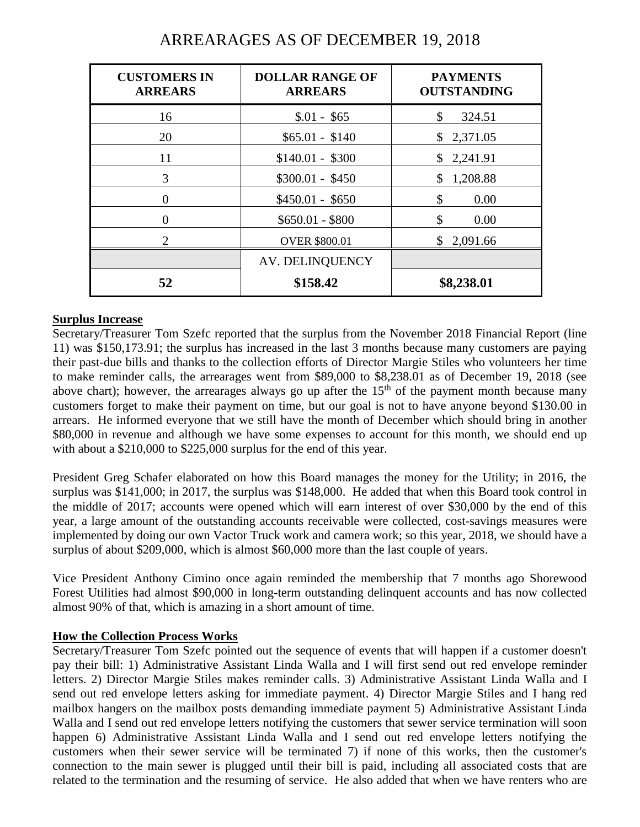| <b>CUSTOMERS IN</b><br><b>ARREARS</b> | <b>DOLLAR RANGE OF</b><br><b>ARREARS</b> | <b>PAYMENTS</b><br><b>OUTSTANDING</b> |
|---------------------------------------|------------------------------------------|---------------------------------------|
| 16                                    | $$.01 - $65$                             | \$<br>324.51                          |
| 20                                    | $$65.01 - $140$                          | \$2,371.05                            |
| 11                                    | $$140.01 - $300$                         | \$2,241.91                            |
| 3                                     | $$300.01 - $450$                         | 1,208.88<br>\$                        |
| 0                                     | $$450.01 - $650$                         | \$<br>0.00                            |
| 0                                     | $$650.01 - $800$                         | \$<br>0.00                            |
| $\mathfrak{D}$                        | <b>OVER \$800.01</b>                     | \$2,091.66                            |
|                                       | <b>AV. DELINQUENCY</b>                   |                                       |
| 52                                    | \$158.42                                 | \$8,238.01                            |

# ARREARAGES AS OF DECEMBER 19, 2018

### **Surplus Increase**

Secretary/Treasurer Tom Szefc reported that the surplus from the November 2018 Financial Report (line 11) was \$150,173.91; the surplus has increased in the last 3 months because many customers are paying their past-due bills and thanks to the collection efforts of Director Margie Stiles who volunteers her time to make reminder calls, the arrearages went from \$89,000 to \$8,238.01 as of December 19, 2018 (see above chart); however, the arrearages always go up after the  $15<sup>th</sup>$  of the payment month because many customers forget to make their payment on time, but our goal is not to have anyone beyond \$130.00 in arrears. He informed everyone that we still have the month of December which should bring in another \$80,000 in revenue and although we have some expenses to account for this month, we should end up with about a \$210,000 to \$225,000 surplus for the end of this year.

President Greg Schafer elaborated on how this Board manages the money for the Utility; in 2016, the surplus was \$141,000; in 2017, the surplus was \$148,000. He added that when this Board took control in the middle of 2017; accounts were opened which will earn interest of over \$30,000 by the end of this year, a large amount of the outstanding accounts receivable were collected, cost-savings measures were implemented by doing our own Vactor Truck work and camera work; so this year, 2018, we should have a surplus of about \$209,000, which is almost \$60,000 more than the last couple of years.

Vice President Anthony Cimino once again reminded the membership that 7 months ago Shorewood Forest Utilities had almost \$90,000 in long-term outstanding delinquent accounts and has now collected almost 90% of that, which is amazing in a short amount of time.

#### **How the Collection Process Works**

Secretary/Treasurer Tom Szefc pointed out the sequence of events that will happen if a customer doesn't pay their bill: 1) Administrative Assistant Linda Walla and I will first send out red envelope reminder letters. 2) Director Margie Stiles makes reminder calls. 3) Administrative Assistant Linda Walla and I send out red envelope letters asking for immediate payment. 4) Director Margie Stiles and I hang red mailbox hangers on the mailbox posts demanding immediate payment 5) Administrative Assistant Linda Walla and I send out red envelope letters notifying the customers that sewer service termination will soon happen 6) Administrative Assistant Linda Walla and I send out red envelope letters notifying the customers when their sewer service will be terminated 7) if none of this works, then the customer's connection to the main sewer is plugged until their bill is paid, including all associated costs that are related to the termination and the resuming of service. He also added that when we have renters who are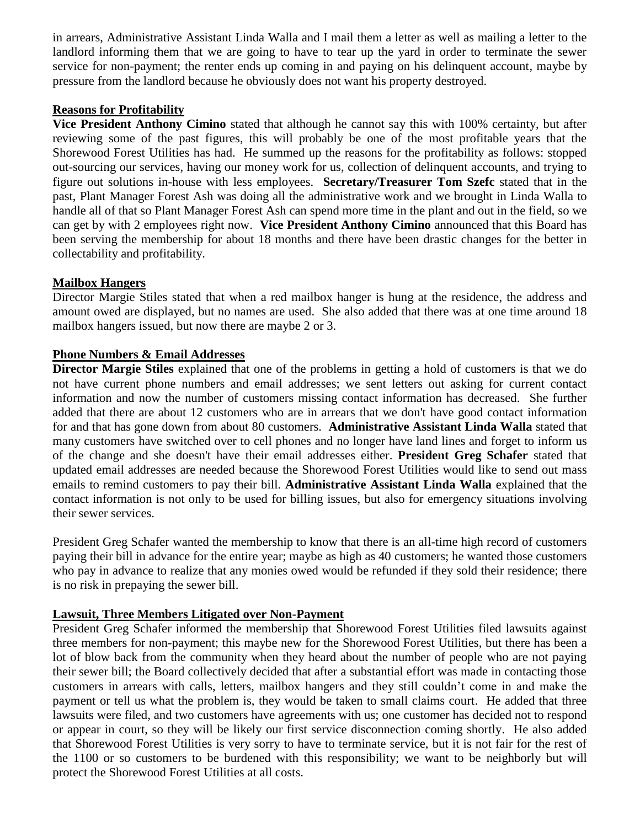in arrears, Administrative Assistant Linda Walla and I mail them a letter as well as mailing a letter to the landlord informing them that we are going to have to tear up the yard in order to terminate the sewer service for non-payment; the renter ends up coming in and paying on his delinquent account, maybe by pressure from the landlord because he obviously does not want his property destroyed.

#### **Reasons for Profitability**

**Vice President Anthony Cimino** stated that although he cannot say this with 100% certainty, but after reviewing some of the past figures, this will probably be one of the most profitable years that the Shorewood Forest Utilities has had. He summed up the reasons for the profitability as follows: stopped out-sourcing our services, having our money work for us, collection of delinquent accounts, and trying to figure out solutions in-house with less employees. **Secretary/Treasurer Tom Szefc** stated that in the past, Plant Manager Forest Ash was doing all the administrative work and we brought in Linda Walla to handle all of that so Plant Manager Forest Ash can spend more time in the plant and out in the field, so we can get by with 2 employees right now. **Vice President Anthony Cimino** announced that this Board has been serving the membership for about 18 months and there have been drastic changes for the better in collectability and profitability.

#### **Mailbox Hangers**

Director Margie Stiles stated that when a red mailbox hanger is hung at the residence, the address and amount owed are displayed, but no names are used. She also added that there was at one time around 18 mailbox hangers issued, but now there are maybe 2 or 3.

#### **Phone Numbers & Email Addresses**

**Director Margie Stiles** explained that one of the problems in getting a hold of customers is that we do not have current phone numbers and email addresses; we sent letters out asking for current contact information and now the number of customers missing contact information has decreased. She further added that there are about 12 customers who are in arrears that we don't have good contact information for and that has gone down from about 80 customers. **Administrative Assistant Linda Walla** stated that many customers have switched over to cell phones and no longer have land lines and forget to inform us of the change and she doesn't have their email addresses either. **President Greg Schafer** stated that updated email addresses are needed because the Shorewood Forest Utilities would like to send out mass emails to remind customers to pay their bill. **Administrative Assistant Linda Walla** explained that the contact information is not only to be used for billing issues, but also for emergency situations involving their sewer services.

President Greg Schafer wanted the membership to know that there is an all-time high record of customers paying their bill in advance for the entire year; maybe as high as 40 customers; he wanted those customers who pay in advance to realize that any monies owed would be refunded if they sold their residence; there is no risk in prepaying the sewer bill.

#### **Lawsuit, Three Members Litigated over Non-Payment**

President Greg Schafer informed the membership that Shorewood Forest Utilities filed lawsuits against three members for non-payment; this maybe new for the Shorewood Forest Utilities, but there has been a lot of blow back from the community when they heard about the number of people who are not paying their sewer bill; the Board collectively decided that after a substantial effort was made in contacting those customers in arrears with calls, letters, mailbox hangers and they still couldn't come in and make the payment or tell us what the problem is, they would be taken to small claims court. He added that three lawsuits were filed, and two customers have agreements with us; one customer has decided not to respond or appear in court, so they will be likely our first service disconnection coming shortly. He also added that Shorewood Forest Utilities is very sorry to have to terminate service, but it is not fair for the rest of the 1100 or so customers to be burdened with this responsibility; we want to be neighborly but will protect the Shorewood Forest Utilities at all costs.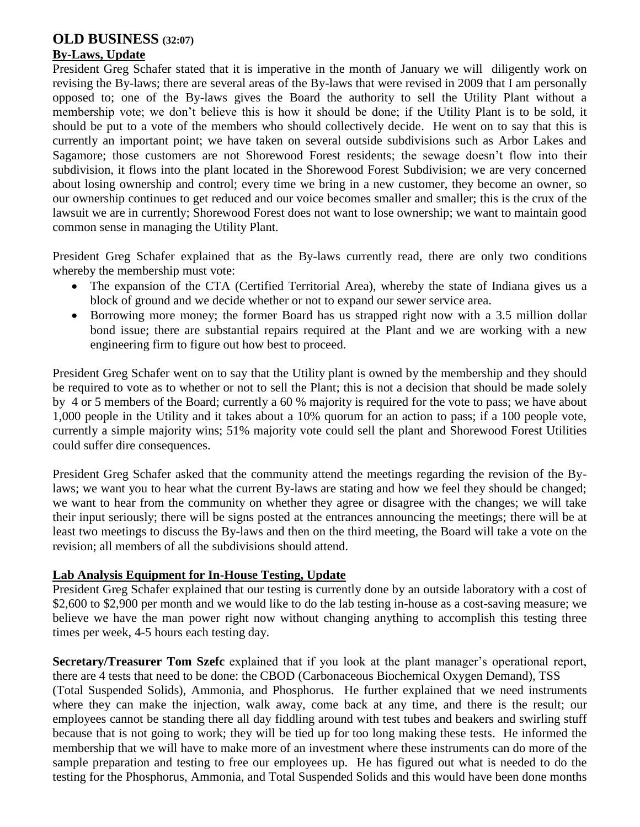# **OLD BUSINESS (32:07)**

### **By-Laws, Update**

President Greg Schafer stated that it is imperative in the month of January we will diligently work on revising the By-laws; there are several areas of the By-laws that were revised in 2009 that I am personally opposed to; one of the By-laws gives the Board the authority to sell the Utility Plant without a membership vote; we don't believe this is how it should be done; if the Utility Plant is to be sold, it should be put to a vote of the members who should collectively decide. He went on to say that this is currently an important point; we have taken on several outside subdivisions such as Arbor Lakes and Sagamore; those customers are not Shorewood Forest residents; the sewage doesn't flow into their subdivision, it flows into the plant located in the Shorewood Forest Subdivision; we are very concerned about losing ownership and control; every time we bring in a new customer, they become an owner, so our ownership continues to get reduced and our voice becomes smaller and smaller; this is the crux of the lawsuit we are in currently; Shorewood Forest does not want to lose ownership; we want to maintain good common sense in managing the Utility Plant.

President Greg Schafer explained that as the By-laws currently read, there are only two conditions whereby the membership must vote:

- The expansion of the CTA (Certified Territorial Area), whereby the state of Indiana gives us a block of ground and we decide whether or not to expand our sewer service area.
- Borrowing more money; the former Board has us strapped right now with a 3.5 million dollar bond issue; there are substantial repairs required at the Plant and we are working with a new engineering firm to figure out how best to proceed.

President Greg Schafer went on to say that the Utility plant is owned by the membership and they should be required to vote as to whether or not to sell the Plant; this is not a decision that should be made solely by 4 or 5 members of the Board; currently a 60 % majority is required for the vote to pass; we have about 1,000 people in the Utility and it takes about a 10% quorum for an action to pass; if a 100 people vote, currently a simple majority wins; 51% majority vote could sell the plant and Shorewood Forest Utilities could suffer dire consequences.

President Greg Schafer asked that the community attend the meetings regarding the revision of the Bylaws; we want you to hear what the current By-laws are stating and how we feel they should be changed; we want to hear from the community on whether they agree or disagree with the changes; we will take their input seriously; there will be signs posted at the entrances announcing the meetings; there will be at least two meetings to discuss the By-laws and then on the third meeting, the Board will take a vote on the revision; all members of all the subdivisions should attend.

## **Lab Analysis Equipment for In-House Testing, Update**

President Greg Schafer explained that our testing is currently done by an outside laboratory with a cost of \$2,600 to \$2,900 per month and we would like to do the lab testing in-house as a cost-saving measure; we believe we have the man power right now without changing anything to accomplish this testing three times per week, 4-5 hours each testing day.

**Secretary/Treasurer Tom Szefc** explained that if you look at the plant manager's operational report, there are 4 tests that need to be done: the CBOD (Carbonaceous Biochemical Oxygen Demand), TSS (Total Suspended Solids), Ammonia, and Phosphorus. He further explained that we need instruments where they can make the injection, walk away, come back at any time, and there is the result; our employees cannot be standing there all day fiddling around with test tubes and beakers and swirling stuff because that is not going to work; they will be tied up for too long making these tests. He informed the membership that we will have to make more of an investment where these instruments can do more of the sample preparation and testing to free our employees up. He has figured out what is needed to do the testing for the Phosphorus, Ammonia, and Total Suspended Solids and this would have been done months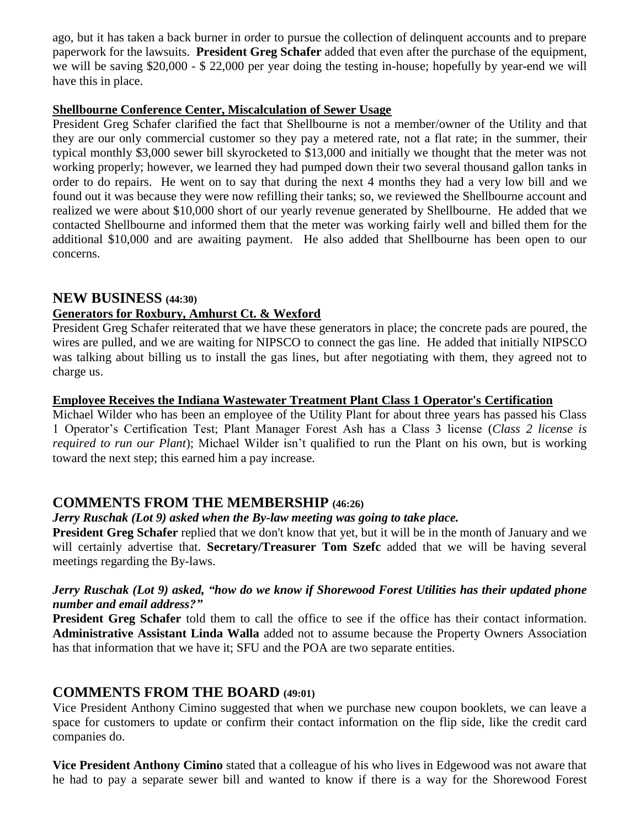ago, but it has taken a back burner in order to pursue the collection of delinquent accounts and to prepare paperwork for the lawsuits. **President Greg Schafer** added that even after the purchase of the equipment, we will be saving \$20,000 - \$ 22,000 per year doing the testing in-house; hopefully by year-end we will have this in place.

#### **Shellbourne Conference Center, Miscalculation of Sewer Usage**

President Greg Schafer clarified the fact that Shellbourne is not a member/owner of the Utility and that they are our only commercial customer so they pay a metered rate, not a flat rate; in the summer, their typical monthly \$3,000 sewer bill skyrocketed to \$13,000 and initially we thought that the meter was not working properly; however, we learned they had pumped down their two several thousand gallon tanks in order to do repairs. He went on to say that during the next 4 months they had a very low bill and we found out it was because they were now refilling their tanks; so, we reviewed the Shellbourne account and realized we were about \$10,000 short of our yearly revenue generated by Shellbourne. He added that we contacted Shellbourne and informed them that the meter was working fairly well and billed them for the additional \$10,000 and are awaiting payment. He also added that Shellbourne has been open to our concerns.

## **NEW BUSINESS (44:30)**

## **Generators for Roxbury, Amhurst Ct. & Wexford**

President Greg Schafer reiterated that we have these generators in place; the concrete pads are poured, the wires are pulled, and we are waiting for NIPSCO to connect the gas line. He added that initially NIPSCO was talking about billing us to install the gas lines, but after negotiating with them, they agreed not to charge us.

## **Employee Receives the Indiana Wastewater Treatment Plant Class 1 Operator's Certification**

Michael Wilder who has been an employee of the Utility Plant for about three years has passed his Class 1 Operator's Certification Test; Plant Manager Forest Ash has a Class 3 license (*Class 2 license is required to run our Plant*); Michael Wilder isn't qualified to run the Plant on his own, but is working toward the next step; this earned him a pay increase.

# **COMMENTS FROM THE MEMBERSHIP (46:26)**

## *Jerry Ruschak (Lot 9) asked when the By-law meeting was going to take place.*

**President Greg Schafer** replied that we don't know that yet, but it will be in the month of January and we will certainly advertise that. **Secretary/Treasurer Tom Szefc** added that we will be having several meetings regarding the By-laws.

### *Jerry Ruschak (Lot 9) asked, "how do we know if Shorewood Forest Utilities has their updated phone number and email address?"*

**President Greg Schafer** told them to call the office to see if the office has their contact information. **Administrative Assistant Linda Walla** added not to assume because the Property Owners Association has that information that we have it; SFU and the POA are two separate entities.

# **COMMENTS FROM THE BOARD (49:01)**

Vice President Anthony Cimino suggested that when we purchase new coupon booklets, we can leave a space for customers to update or confirm their contact information on the flip side, like the credit card companies do.

**Vice President Anthony Cimino** stated that a colleague of his who lives in Edgewood was not aware that he had to pay a separate sewer bill and wanted to know if there is a way for the Shorewood Forest